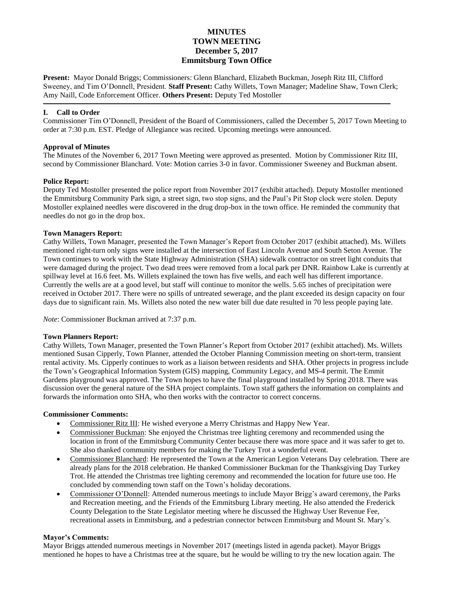# **MINUTES TOWN MEETING December 5, 2017 Emmitsburg Town Office**

**Present:** Mayor Donald Briggs; Commissioners: Glenn Blanchard, Elizabeth Buckman, Joseph Ritz III, Clifford Sweeney, and Tim O'Donnell, President. **Staff Present:** Cathy Willets, Town Manager; Madeline Shaw, Town Clerk; Amy Naill, Code Enforcement Officer. **Others Present:** Deputy Ted Mostoller

## **I. Call to Order**

Commissioner Tim O'Donnell, President of the Board of Commissioners, called the December 5, 2017 Town Meeting to order at 7:30 p.m. EST. Pledge of Allegiance was recited. Upcoming meetings were announced.

## **Approval of Minutes**

The Minutes of the November 6, 2017 Town Meeting were approved as presented. Motion by Commissioner Ritz III, second by Commissioner Blanchard. Vote: Motion carries 3-0 in favor. Commissioner Sweeney and Buckman absent.

## **Police Report:**

Deputy Ted Mostoller presented the police report from November 2017 (exhibit attached). Deputy Mostoller mentioned the Emmitsburg Community Park sign, a street sign, two stop signs, and the Paul's Pit Stop clock were stolen. Deputy Mostoller explained needles were discovered in the drug drop-box in the town office. He reminded the community that needles do not go in the drop box.

## **Town Managers Report:**

Cathy Willets, Town Manager, presented the Town Manager's Report from October 2017 (exhibit attached). Ms. Willets mentioned right-turn only signs were installed at the intersection of East Lincoln Avenue and South Seton Avenue. The Town continues to work with the State Highway Administration (SHA) sidewalk contractor on street light conduits that were damaged during the project. Two dead trees were removed from a local park per DNR. Rainbow Lake is currently at spillway level at 16.6 feet. Ms. Willets explained the town has five wells, and each well has different importance. Currently the wells are at a good level, but staff will continue to monitor the wells. 5.65 inches of precipitation were received in October 2017. There were no spills of untreated sewerage, and the plant exceeded its design capacity on four days due to significant rain. Ms. Willets also noted the new water bill due date resulted in 70 less people paying late.

*Note*: Commissioner Buckman arrived at 7:37 p.m.

## **Town Planners Report:**

Cathy Willets, Town Manager, presented the Town Planner's Report from October 2017 (exhibit attached). Ms. Willets mentioned Susan Cipperly, Town Planner, attended the October Planning Commission meeting on short-term, transient rental activity. Ms. Cipperly continues to work as a liaison between residents and SHA. Other projects in progress include the Town's Geographical Information System (GIS) mapping, Community Legacy, and MS-4 permit. The Emmit Gardens playground was approved. The Town hopes to have the final playground installed by Spring 2018. There was discussion over the general nature of the SHA project complaints. Town staff gathers the information on complaints and forwards the information onto SHA, who then works with the contractor to correct concerns.

## **Commissioner Comments:**

- Commissioner Ritz III: He wished everyone a Merry Christmas and Happy New Year.
- Commissioner Buckman: She enjoyed the Christmas tree lighting ceremony and recommended using the location in front of the Emmitsburg Community Center because there was more space and it was safer to get to. She also thanked community members for making the Turkey Trot a wonderful event.
- Commissioner Blanchard: He represented the Town at the American Legion Veterans Day celebration. There are already plans for the 2018 celebration. He thanked Commissioner Buckman for the Thanksgiving Day Turkey Trot. He attended the Christmas tree lighting ceremony and recommended the location for future use too. He concluded by commending town staff on the Town's holiday decorations.
- Commissioner O'Donnell: Attended numerous meetings to include Mayor Brigg's award ceremony, the Parks and Recreation meeting, and the Friends of the Emmitsburg Library meeting. He also attended the Frederick County Delegation to the State Legislator meeting where he discussed the Highway User Revenue Fee, recreational assets in Emmitsburg, and a pedestrian connector between Emmitsburg and Mount St. Mary's.

## **Mayor's Comments:**

Mayor Briggs attended numerous meetings in November 2017 (meetings listed in agenda packet). Mayor Briggs mentioned he hopes to have a Christmas tree at the square, but he would be willing to try the new location again. The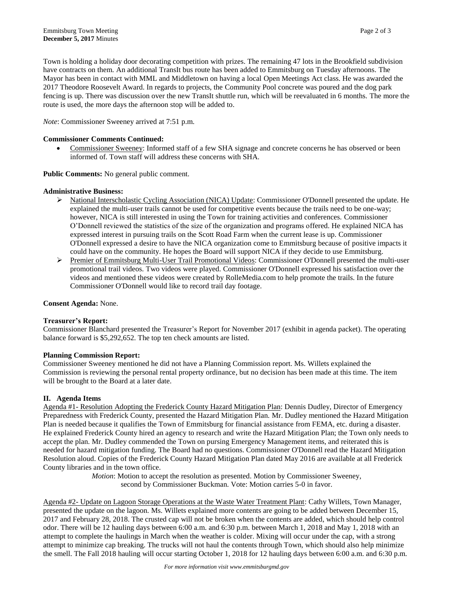Town is holding a holiday door decorating competition with prizes. The remaining 47 lots in the Brookfield subdivision have contracts on them. An additional TransIt bus route has been added to Emmitsburg on Tuesday afternoons. The Mayor has been in contact with MML and Middletown on having a local Open Meetings Act class. He was awarded the 2017 Theodore Roosevelt Award. In regards to projects, the Community Pool concrete was poured and the dog park fencing is up. There was discussion over the new TransIt shuttle run, which will be reevaluated in 6 months. The more the route is used, the more days the afternoon stop will be added to.

*Note*: Commissioner Sweeney arrived at 7:51 p.m.

#### **Commissioner Comments Continued:**

• Commissioner Sweeney: Informed staff of a few SHA signage and concrete concerns he has observed or been informed of. Town staff will address these concerns with SHA.

**Public Comments:** No general public comment.

#### **Administrative Business:**

- National Interscholastic Cycling Association (NICA) Update: Commissioner O'Donnell presented the update. He explained the multi-user trails cannot be used for competitive events because the trails need to be one-way; however, NICA is still interested in using the Town for training activities and conferences. Commissioner O'Donnell reviewed the statistics of the size of the organization and programs offered. He explained NICA has expressed interest in pursuing trails on the Scott Road Farm when the current lease is up. Commissioner O'Donnell expressed a desire to have the NICA organization come to Emmitsburg because of positive impacts it could have on the community. He hopes the Board will support NICA if they decide to use Emmitsburg.
- Premier of Emmitsburg Multi-User Trail Promotional Videos: Commissioner O'Donnell presented the multi-user promotional trail videos. Two videos were played. Commissioner O'Donnell expressed his satisfaction over the videos and mentioned these videos were created by RolleMedia.com to help promote the trails. In the future Commissioner O'Donnell would like to record trail day footage.

#### **Consent Agenda:** None.

#### **Treasurer's Report:**

Commissioner Blanchard presented the Treasurer's Report for November 2017 (exhibit in agenda packet). The operating balance forward is \$5,292,652. The top ten check amounts are listed.

#### **Planning Commission Report:**

Commissioner Sweeney mentioned he did not have a Planning Commission report. Ms. Willets explained the Commission is reviewing the personal rental property ordinance, but no decision has been made at this time. The item will be brought to the Board at a later date.

#### **II. Agenda Items**

Agenda #1- Resolution Adopting the Frederick County Hazard Mitigation Plan: Dennis Dudley, Director of Emergency Preparedness with Frederick County, presented the Hazard Mitigation Plan. Mr. Dudley mentioned the Hazard Mitigation Plan is needed because it qualifies the Town of Emmitsburg for financial assistance from FEMA, etc. during a disaster. He explained Frederick County hired an agency to research and write the Hazard Mitigation Plan; the Town only needs to accept the plan. Mr. Dudley commended the Town on pursing Emergency Management items, and reiterated this is needed for hazard mitigation funding. The Board had no questions. Commissioner O'Donnell read the Hazard Mitigation Resolution aloud. Copies of the Frederick County Hazard Mitigation Plan dated May 2016 are available at all Frederick County libraries and in the town office.

> *Motion*: Motion to accept the resolution as presented. Motion by Commissioner Sweeney, second by Commissioner Buckman. Vote: Motion carries 5-0 in favor.

Agenda #2- Update on Lagoon Storage Operations at the Waste Water Treatment Plant: Cathy Willets, Town Manager, presented the update on the lagoon. Ms. Willets explained more contents are going to be added between December 15, 2017 and February 28, 2018. The crusted cap will not be broken when the contents are added, which should help control odor. There will be 12 hauling days between 6:00 a.m. and 6:30 p.m. between March 1, 2018 and May 1, 2018 with an attempt to complete the haulings in March when the weather is colder. Mixing will occur under the cap, with a strong attempt to minimize cap breaking. The trucks will not haul the contents through Town, which should also help minimize the smell. The Fall 2018 hauling will occur starting October 1, 2018 for 12 hauling days between 6:00 a.m. and 6:30 p.m.